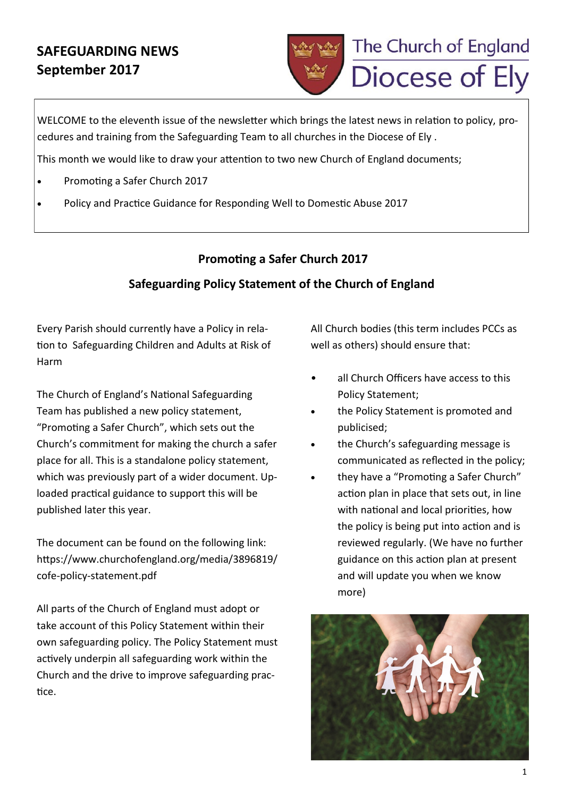# **SAFEGUARDING NEWS September 2017**



WELCOME to the eleventh issue of the newsletter which brings the latest news in relation to policy, procedures and training from the Safeguarding Team to all churches in the Diocese of Ely .

This month we would like to draw your attention to two new Church of England documents;

- Promoting a Safer Church 2017
- Policy and Practice Guidance for Responding Well to Domestic Abuse 2017

## **Promoting a Safer Church 2017**

## **Safeguarding Policy Statement of the Church of England**

Every Parish should currently have a Policy in relation to Safeguarding Children and Adults at Risk of Harm

The Church of England's National Safeguarding Team has published a new policy statement, "Promoting a Safer Church", which sets out the Church's commitment for making the church a safer place for all. This is a standalone policy statement, which was previously part of a wider document. Uploaded practical guidance to support this will be published later this year.

The document can be found on the following link: https://www.churchofengland.org/media/3896819/ cofe-policy-statement.pdf

All parts of the Church of England must adopt or take account of this Policy Statement within their own safeguarding policy. The Policy Statement must actively underpin all safeguarding work within the Church and the drive to improve safeguarding practice.

All Church bodies (this term includes PCCs as well as others) should ensure that:

- all Church Officers have access to this Policy Statement;
- the Policy Statement is promoted and publicised;
- the Church's safeguarding message is communicated as reflected in the policy;
- they have a "Promoting a Safer Church" action plan in place that sets out, in line with national and local priorities, how the policy is being put into action and is reviewed regularly. (We have no further guidance on this action plan at present and will update you when we know more)

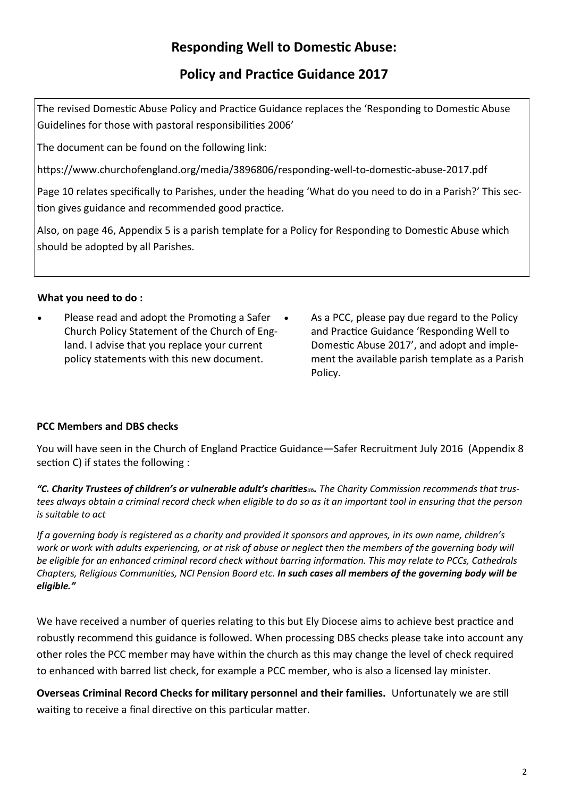# **Responding Well to Domestic Abuse:**

## **Policy and Practice Guidance 2017**

The revised Domestic Abuse Policy and Practice Guidance replaces the 'Responding to Domestic Abuse Guidelines for those with pastoral responsibilities 2006'

The document can be found on the following link:

https://www.churchofengland.org/media/3896806/responding-well-to-domestic-abuse-2017.pdf

Page 10 relates specifically to Parishes, under the heading 'What do you need to do in a Parish?' This section gives guidance and recommended good practice.

Also, on page 46, Appendix 5 is a parish template for a Policy for Responding to Domestic Abuse which should be adopted by all Parishes.

## **What you need to do :**

- Please read and adopt the Promoting a Safer Church Policy Statement of the Church of England. I advise that you replace your current policy statements with this new document.
- As a PCC, please pay due regard to the Policy and Practice Guidance 'Responding Well to Domestic Abuse 2017', and adopt and implement the available parish template as a Parish Policy.

## **PCC Members and DBS checks**

You will have seen in the Church of England Practice Guidance—Safer Recruitment July 2016 (Appendix 8 section C) if states the following :

*"C. Charity Trustees of children's or vulnerable adult's charities36. The Charity Commission recommends that trustees always obtain a criminal record check when eligible to do so as it an important tool in ensuring that the person is suitable to act*

*If a governing body is registered as a charity and provided it sponsors and approves, in its own name, children's*  work or work with adults experiencing, or at risk of abuse or neglect then the members of the governing body will *be eligible for an enhanced criminal record check without barring information. This may relate to PCCs, Cathedrals Chapters, Religious Communities, NCI Pension Board etc. In such cases all members of the governing body will be eligible."* 

We have received a number of queries relating to this but Ely Diocese aims to achieve best practice and robustly recommend this guidance is followed. When processing DBS checks please take into account any other roles the PCC member may have within the church as this may change the level of check required to enhanced with barred list check, for example a PCC member, who is also a licensed lay minister.

**Overseas Criminal Record Checks for military personnel and their families.** Unfortunately we are still waiting to receive a final directive on this particular matter.